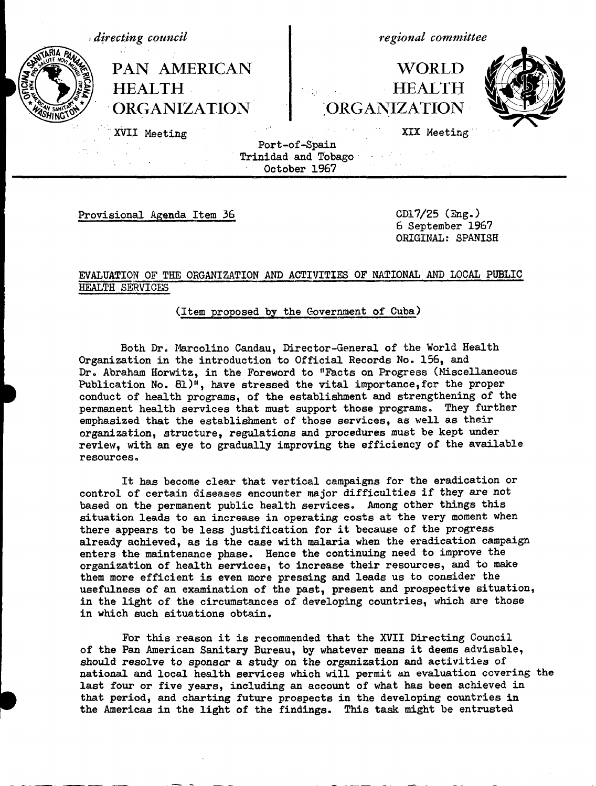

Port-of-Spain Trinidad and Tobago-October 1967

Provisional Agenda Item 36 CD17/25 (Eng.)

6 September 1967 ORIGINAL: SPANISH

## EVALUATION OF THE ORGANIZATION AND ACTIVITIES OF NATIONAL AND LOCAL PUBLIC HEALTH SERVICES

(Item proposed by the Government of Cuba)

Both Dr. Marcolino Candau, Director-General of the World Health Organization in the introduction to Official Records No. 156, and Dr. Abraham Horwitz, in the Foreword to "Facts on Progress (Miscellaneous Publication No. 81)", have stressed the vital importance,for the proper **!** conduct of health programs, of the establishment and strengthening of the permanent health services that must support those programs. They further emphasized that the establishment of those services, as well as their organization, structure, regulations and procedures must be kept under review, with an eye to gradually improving the efficiency of the available resources.

It has become clear that vertical campaigns for the eradication or control of certain diseases encounter major difficulties if they are not based on the permanent public health services. Among other things this situation leads to an increase in operating costs at the very moment when there appears to be less justification for it because of the progress already achieved, as is the case with malaria when the eradication campaign enters the maintenance phase. Hence the continuing need to improve the organization of health services, to increase their resources, and to make them more efficient is even more pressing and leads us to consider the usefulness of an examination of the past, present and prospective situation, in the light of the circumstances of developing countries, which are those in which such situations obtain.

For this reason it is recommended that the XVII Directing Council of the Pan American Sanitary Bureau, by whatever means it deems advisable, should resolve to sponsor a study on the organization and activities of national and local health services which will permit an evaluation covering the last four or five years, including an account of what has been achieved in that period, and charting future prospects in the developing countries in the Americas in the light of the findings. This task might be entrusted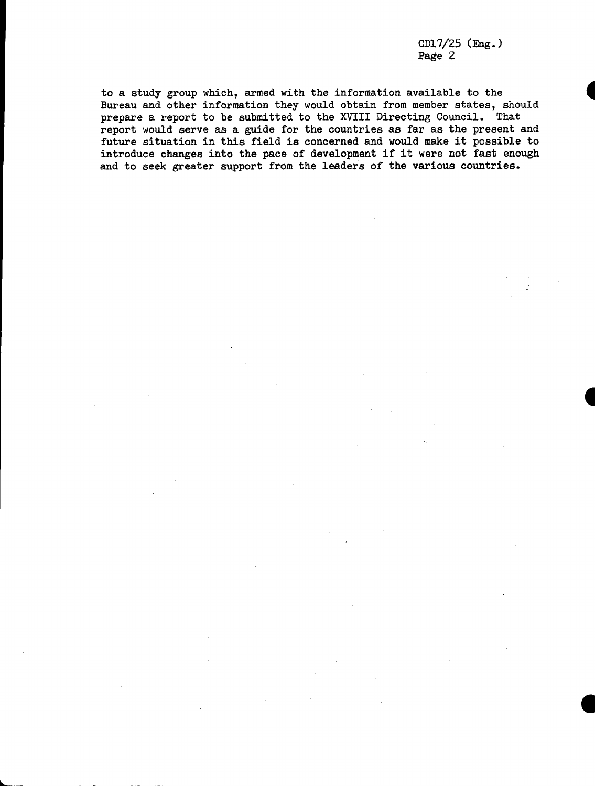CD17/25 (Eng.) Page 2

. . .~~~~~~~~

to a study group which, armed with the information available to the Bureau and other information they would obtain from member states, should prepare a report to be submitted to the XVIII Directing Council. That report would serve as a guide for the countries as far as the present and future situation in this field is concerned and would make it possible to introduce changes into the pace of development if it were not fast enough and to seek greater support from the leaders of the various countries.